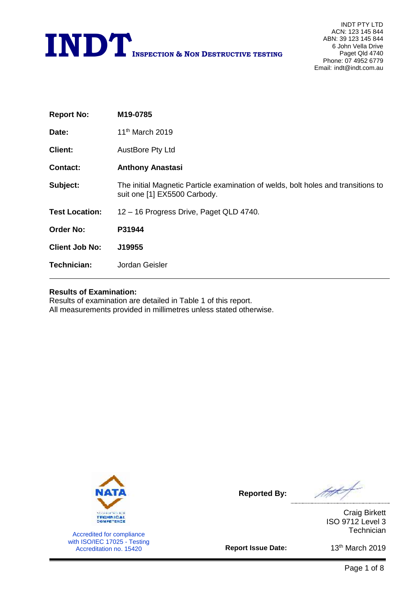

| M19-0785                                                                                                          |
|-------------------------------------------------------------------------------------------------------------------|
| 11 <sup>th</sup> March 2019                                                                                       |
| <b>AustBore Pty Ltd</b>                                                                                           |
| <b>Anthony Anastasi</b>                                                                                           |
| The initial Magnetic Particle examination of welds, bolt holes and transitions to<br>suit one [1] EX5500 Carbody. |
| 12 - 16 Progress Drive, Paget QLD 4740.                                                                           |
| P31944                                                                                                            |
| J19955                                                                                                            |
| Jordan Geisler                                                                                                    |
|                                                                                                                   |

### **Results of Examination:**

Results of examination are detailed in Table 1 of this report. All measurements provided in millimetres unless stated otherwise.



Accredited for compliance with ISO/IEC 17025 - Testing Accreditation no. 15420

**Reported By:**

ft f

Craig Birkett ISO 9712 Level 3 **Technician** 

**Report Issue Date:**

13<sup>th</sup> March 2019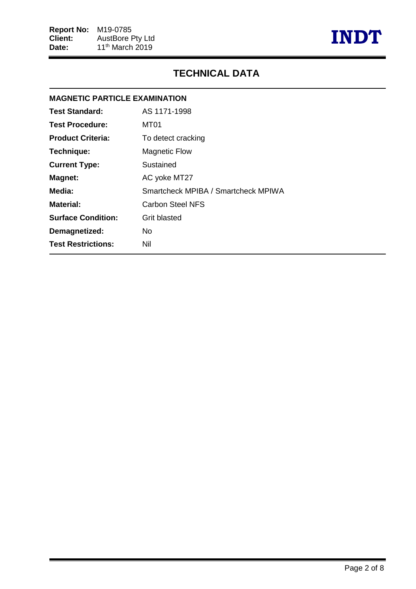

## **TECHNICAL DATA**

# **MAGNETIC PARTICLE EXAMINATION Test Standard:** AS 1171-1998 **Test Procedure:** MT01 **Product Criteria:** To detect cracking **Technique:** Magnetic Flow **Current Type:** Sustained **Magnet:** AC yoke MT27 **Media:** Smartcheck MPIBA / Smartcheck MPIWA **Material:** Carbon Steel NFS **Surface Condition:** Grit blasted **Demagnetized:** No **Test Restrictions:** Nil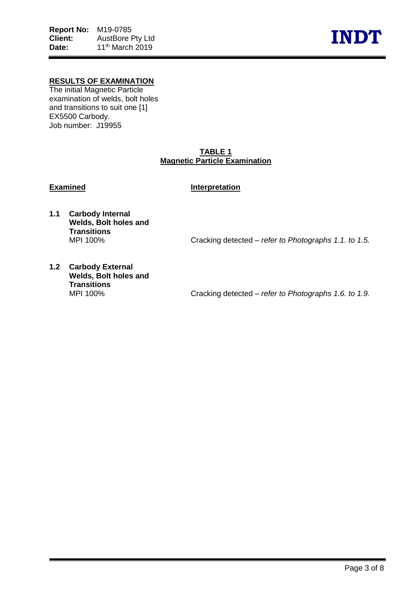

## **RESULTS OF EXAMINATION**

The initial Magnetic Particle examination of welds, bolt holes and transitions to suit one [1] EX5500 Carbody. Job number: J19955

### **TABLE 1 Magnetic Particle Examination**

### **Examined Interpretation**

**1.1 Carbody Internal Welds, Bolt holes and Transitions**

Cracking detected – *refer to Photographs* 1.1. to 1.5.

**1.2 Carbody External Welds, Bolt holes and Transitions**

Cracking detected – *refer to Photographs* 1.6. to 1.9.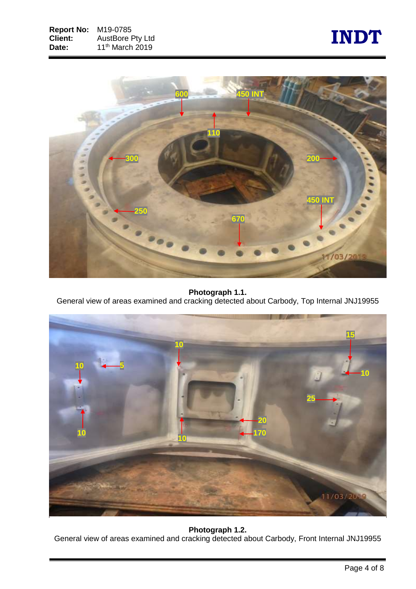



**Photograph 1.1.**

General view of areas examined and cracking detected about Carbody, Top Internal JNJ19955



## **Photograph 1.2.**

General view of areas examined and cracking detected about Carbody, Front Internal JNJ19955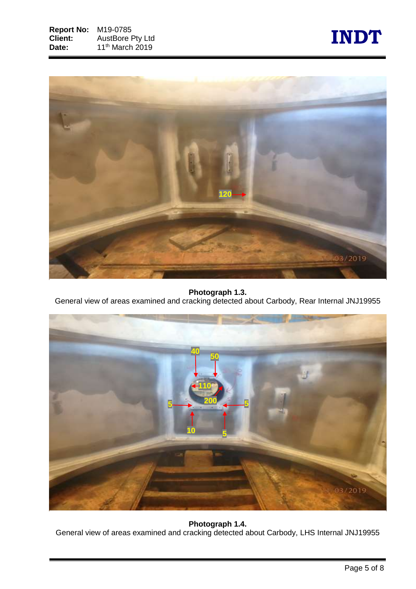



**Photograph 1.3.**

General view of areas examined and cracking detected about Carbody, Rear Internal JNJ19955



**Photograph 1.4.** General view of areas examined and cracking detected about Carbody, LHS Internal JNJ19955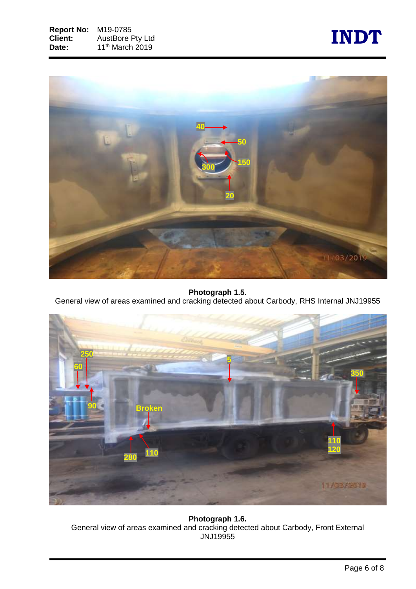



**Photograph 1.5.**

General view of areas examined and cracking detected about Carbody, RHS Internal JNJ19955



**Photograph 1.6.** General view of areas examined and cracking detected about Carbody, Front External JNJ19955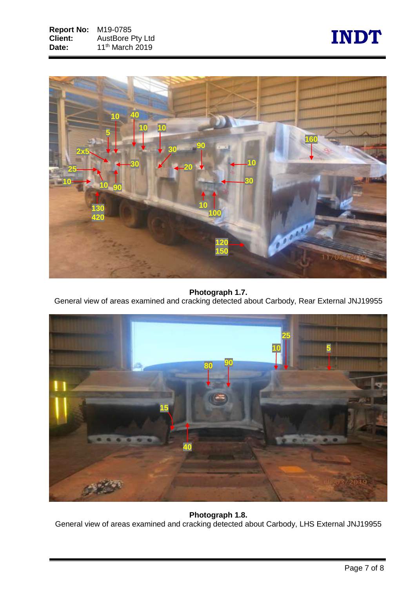



## **Photograph 1.7.**

General view of areas examined and cracking detected about Carbody, Rear External JNJ19955



## **Photograph 1.8.** General view of areas examined and cracking detected about Carbody, LHS External JNJ19955